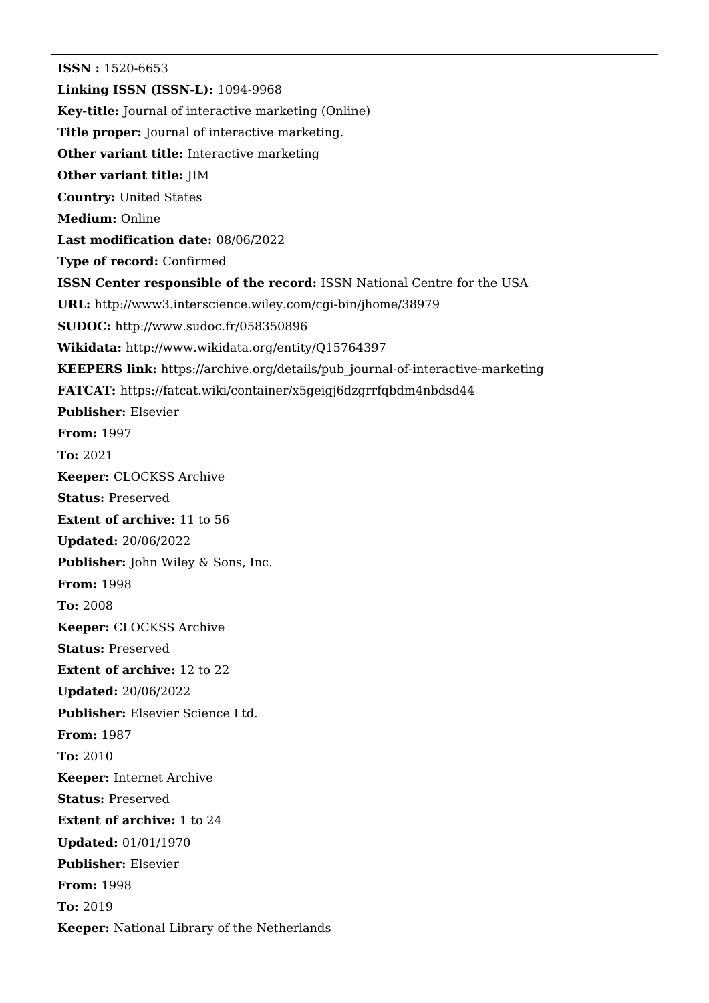**ISSN :** 1520-6653 **Linking ISSN (ISSN-L):** 1094-9968 **Key-title:** Journal of interactive marketing (Online) **Title proper:** Journal of interactive marketing. **Other variant title:** Interactive marketing **Other variant title:** JIM **Country:** United States **Medium:** Online **Last modification date:** 08/06/2022 **Type of record:** Confirmed **ISSN Center responsible of the record:** ISSN National Centre for the USA **URL:** <http://www3.interscience.wiley.com/cgi-bin/jhome/38979> **SUDOC:** <http://www.sudoc.fr/058350896> **Wikidata:** <http://www.wikidata.org/entity/Q15764397> **KEEPERS link:** [https://archive.org/details/pub\\_journal-of-interactive-marketing](https://archive.org/details/pub_journal-of-interactive-marketing) **FATCAT:** <https://fatcat.wiki/container/x5geigj6dzgrrfqbdm4nbdsd44> **Publisher:** Elsevier **From:** 1997 **To:** 2021 **Keeper:** CLOCKSS Archive **Status:** Preserved **Extent of archive:** 11 to 56 **Updated:** 20/06/2022 **Publisher:** John Wiley & Sons, Inc. **From:** 1998 **To:** 2008 **Keeper:** CLOCKSS Archive **Status:** Preserved **Extent of archive:** 12 to 22 **Updated:** 20/06/2022 **Publisher:** Elsevier Science Ltd. **From:** 1987 **To:** 2010 **Keeper:** Internet Archive **Status:** Preserved **Extent of archive:** 1 to 24 **Updated:** 01/01/1970 **Publisher:** Elsevier **From:** 1998 **To:** 2019 **Keeper:** National Library of the Netherlands